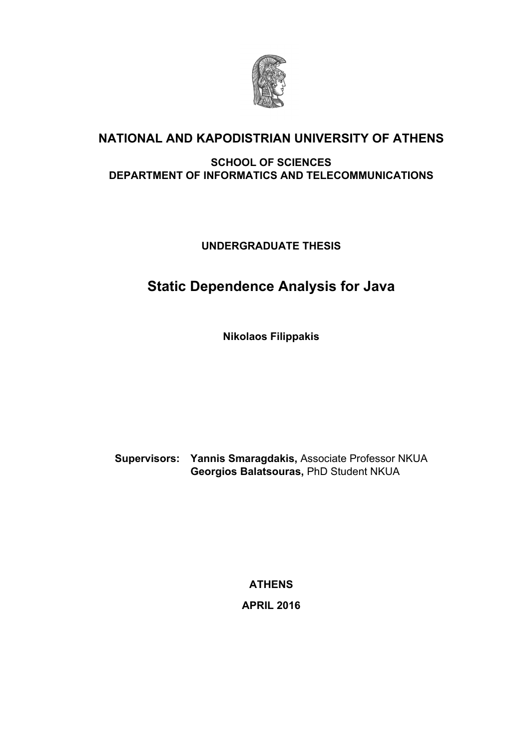

# **NATIONAL AND KAPODISTRIAN UNIVERSITY OF ATHENS**

#### **SCHOOL OF SCIENCES DEPARTMENT OF INFORMATICS AND TELECOMMUNICATIONS**

**UNDERGRADUATE THESIS**

# **Static Dependence Analysis for Java**

**Nikolaos Filippakis**

**Supervisors: Yannis Smaragdakis,** Associate Professor NKUA **Georgios Balatsouras,** PhD Student NKUA

> **ATHENS APRIL 2016**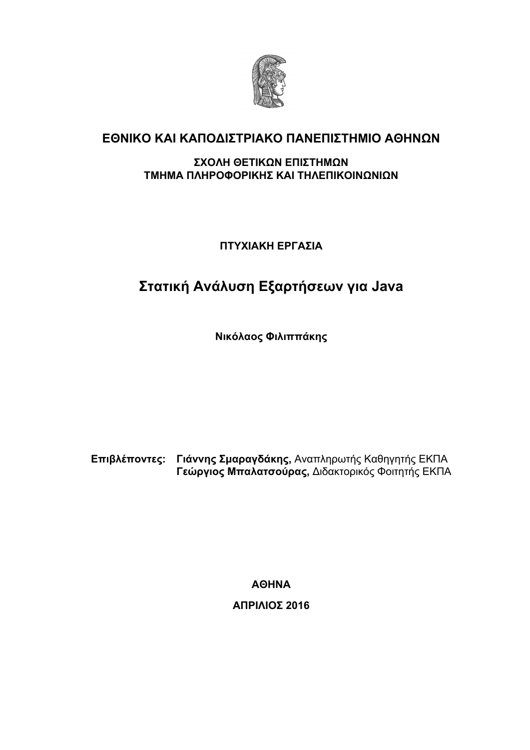

# **ΕΘΝΙΚΟ ΚΑΙ ΚΑΠΟΔΙΣΤΡΙΑΚΟ ΠΑΝΕΠΙΣΤΗΜΙΟ ΑΘΗΝΩΝ**

#### **ΣΧΟΛΗ ΘΕΤΙΚΩΝ ΕΠΙΣΤΗΜΩΝ ΤΜΗΜΑ ΠΛΗΡΟΦΟΡΙΚΗΣ ΚΑΙ ΤΗΛΕΠΙΚΟΙΝΩΝΙΩΝ**

**ΠΤΥΧΙΑΚΗ ΕΡΓΑΣΙΑ**

# **Στατική Ανάλυση Εξαρτήσεων για Java**

**Νικόλαος Φιλιππάκης**

**Επιβλέποντες: Γιάννης Σμαραγδάκης,** Αναπληρωτής Καθηγητής ΕΚΠΑ **Γεώργιος Μπαλατσούρας,** Διδακτορικός Φοιτητής ΕΚΠΑ

**ΑΘΗΝΑ**

**ΑΠΡΙΛΙΟΣ 2016**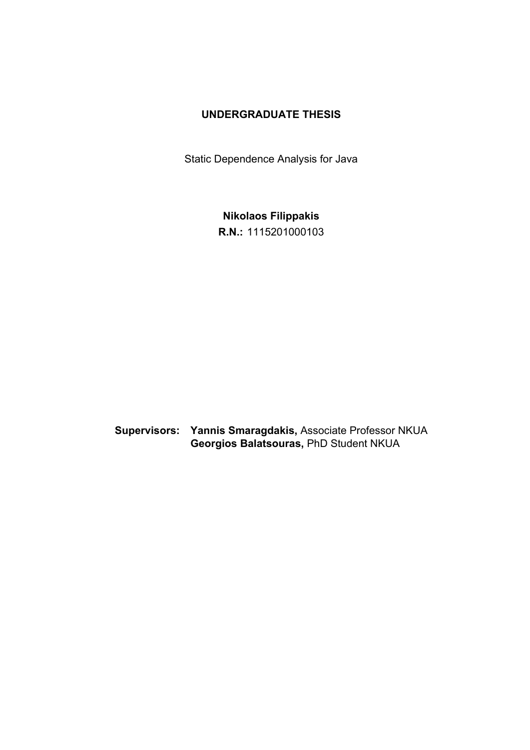#### **UNDERGRADUATE THESIS**

Static Dependence Analysis for Java

**Nikolaos Filippakis R.N.:** 1115201000103

**Supervisors: Yannis Smaragdakis,** Associate Professor NKUA **Georgios Balatsouras,** PhD Student NKUA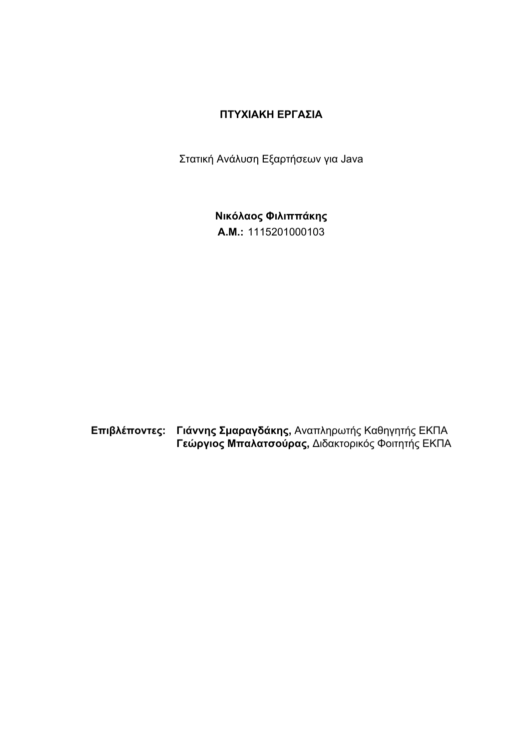#### **ΠΤΥΧΙΑΚΗ ΕΡΓΑΣΙΑ**

Στατική Ανάλυση Εξαρτήσεων για Java

**Νικόλαος Φιλιππάκης Α.Μ.:** 1115201000103

**Επιβλέποντες: Γιάννης Σμαραγδάκης,** Αναπληρωτής Καθηγητής ΕΚΠΑ **Γεώργιος Μπαλατσούρας,** Διδακτορικός Φοιτητής ΕΚΠΑ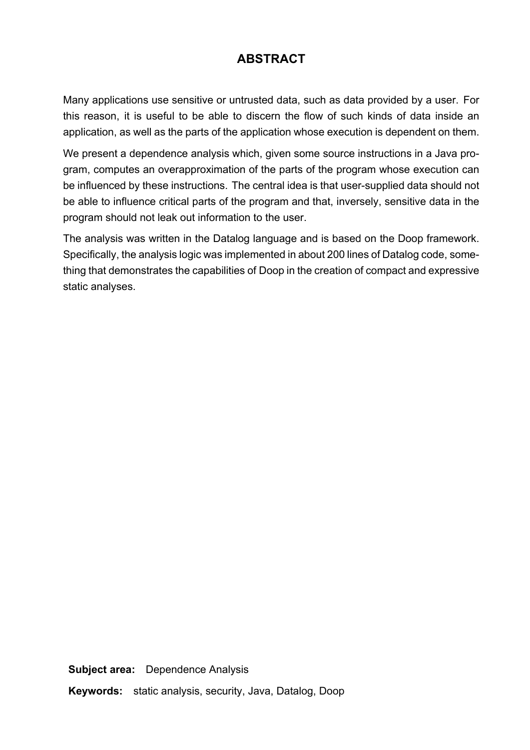# **ABSTRACT**

Many applications use sensitive or untrusted data, such as data provided by a user. For this reason, it is useful to be able to discern the flow of such kinds of data inside an application, as well as the parts of the application whose execution is dependent on them.

We present a dependence analysis which, given some source instructions in a Java program, computes an overapproximation of the parts of the program whose execution can be influenced by these instructions. The central idea is that user-supplied data should not be able to influence critical parts of the program and that, inversely, sensitive data in the program should not leak out information to the user.

The analysis was written in the Datalog language and is based on the Doop framework. Specifically, the analysis logic was implemented in about 200 lines of Datalog code, something that demonstrates the capabilities of Doop in the creation of compact and expressive static analyses.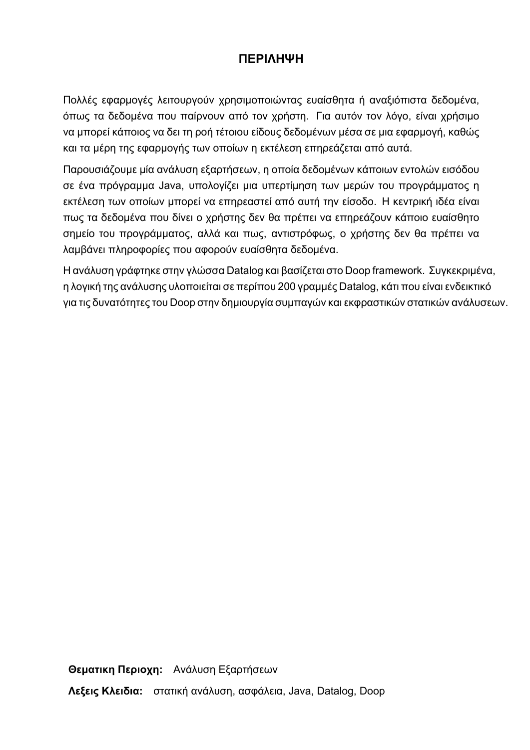## **ΠΕΡΙΛΗΨΗ**

Πολλές εφαρμογές λειτουργούν χρησιμοποιώντας ευαίσθητα ή αναξιόπιστα δεδομένα, όπως τα δεδομένα που παίρνουν από τον χρήστη. Για αυτόν τον λόγο, είναι χρήσιμο να μπορεί κάποιος να δει τη ροή τέτοιου είδους δεδομένων μέσα σε μια εφαρμογή, καθώς και τα μέρη της εφαρμογής των οποίων η εκτέλεση επηρεάζεται από αυτά.

Παρουσιάζουμε μία ανάλυση εξαρτήσεων, η οποία δεδομένων κάποιων εντολών εισόδου σε ένα πρόγραμμα Java, υπολογίζει μια υπερτίμηση των μερών του προγράμματος η εκτέλεση των οποίων μπορεί να επηρεαστεί από αυτή την είσοδο. Η κεντρική ιδέα είναι πως τα δεδομένα που δίνει ο χρήστης δεν θα πρέπει να επηρεάζουν κάποιο ευαίσθητο σημείο του προγράμματος, αλλά και πως, αντιστρόφως, ο χρήστης δεν θα πρέπει να λαμβάνει πληροφορίες που αφορούν ευαίσθητα δεδομένα.

Η ανάλυση γράφτηκε στην γλώσσα Datalog και βασίζεται στο Doop framework. Συγκεκριμένα, η λογική της ανάλυσης υλοποιείται σε περίπου 200 γραμμές Datalog, κάτι που είναι ενδεικτικό για τις δυνατότητες του Doop στην δημιουργία συμπαγών και εκφραστικών στατικών ανάλυσεων.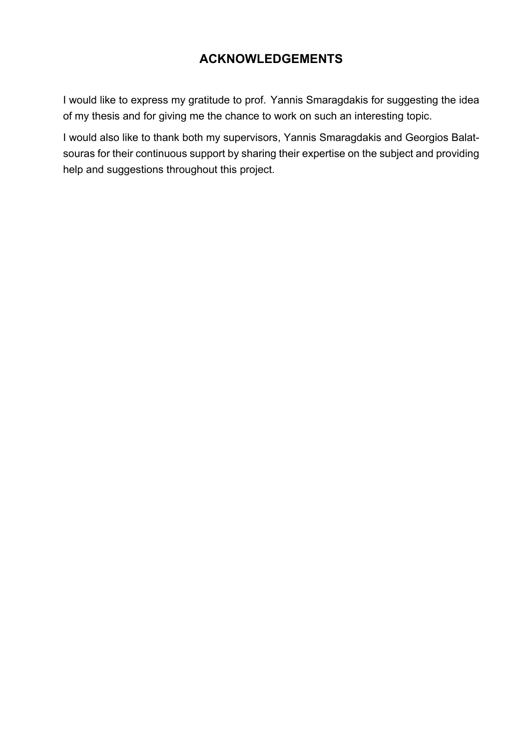# **ACKNOWLEDGEMENTS**

I would like to express my gratitude to prof. Yannis Smaragdakis for suggesting the idea of my thesis and for giving me the chance to work on such an interesting topic.

I would also like to thank both my supervisors, Yannis Smaragdakis and Georgios Balatsouras for their continuous support by sharing their expertise on the subject and providing help and suggestions throughout this project.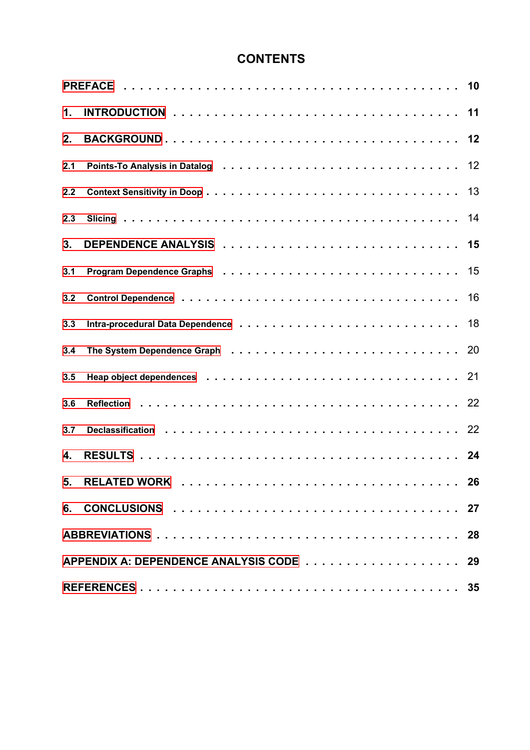# **CONTENTS**

| 1.  |  |    |  |  |  |  |
|-----|--|----|--|--|--|--|
| 2.  |  |    |  |  |  |  |
| 2.1 |  |    |  |  |  |  |
| 2.2 |  |    |  |  |  |  |
| 2.3 |  |    |  |  |  |  |
| 3.  |  |    |  |  |  |  |
| 3.1 |  |    |  |  |  |  |
| 3.2 |  | 16 |  |  |  |  |
| 3.3 |  |    |  |  |  |  |
| 3.4 |  |    |  |  |  |  |
| 3.5 |  |    |  |  |  |  |
| 3.6 |  |    |  |  |  |  |
| 3.7 |  |    |  |  |  |  |
| 4.  |  |    |  |  |  |  |
|     |  |    |  |  |  |  |
|     |  |    |  |  |  |  |
|     |  |    |  |  |  |  |
|     |  |    |  |  |  |  |
|     |  |    |  |  |  |  |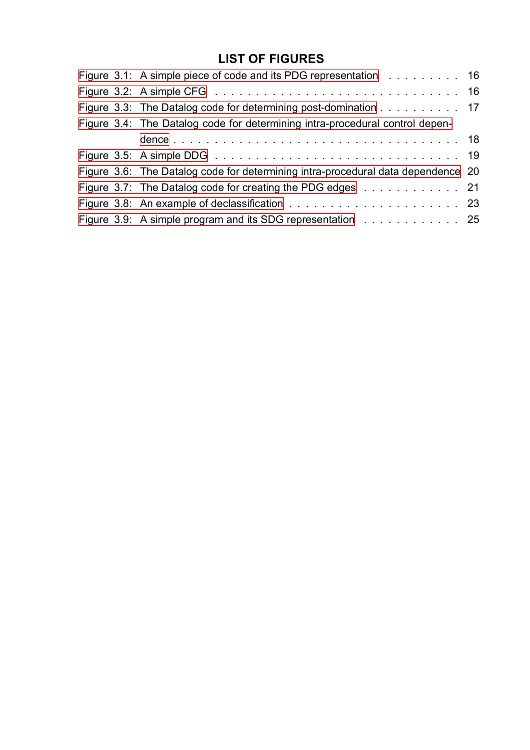# **LIST OF FIGURES**

|  | Figure 3.1: A simple piece of code and its PDG representation 16<br>Figure 3.3: The Datalog code for determining post-domination 17<br>Figure 3.4: The Datalog code for determining intra-procedural control depen-<br>Figure 3.6: The Datalog code for determining intra-procedural data dependence 20<br>Figure 3.7: The Datalog code for creating the PDG edges 21<br>Figure 3.9: A simple program and its SDG representation 25 |
|--|-------------------------------------------------------------------------------------------------------------------------------------------------------------------------------------------------------------------------------------------------------------------------------------------------------------------------------------------------------------------------------------------------------------------------------------|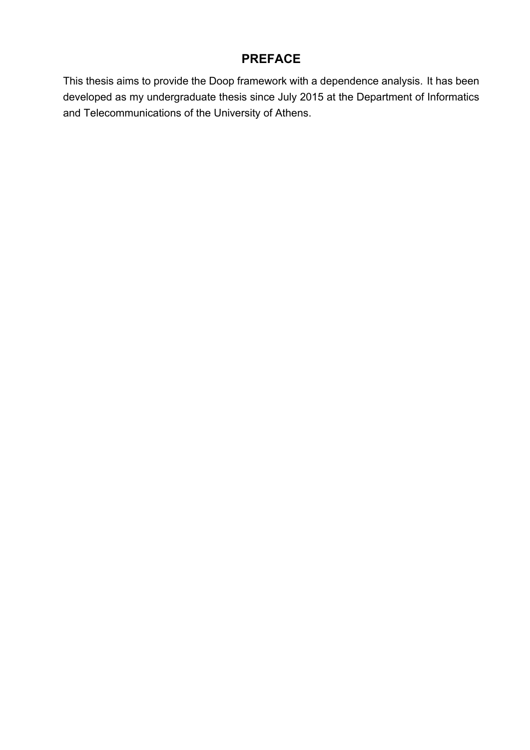## **PREFACE**

<span id="page-9-0"></span>This thesis aims to provide the Doop framework with a dependence analysis. It has been developed as my undergraduate thesis since July 2015 at the Department of Informatics and Telecommunications of the University of Athens.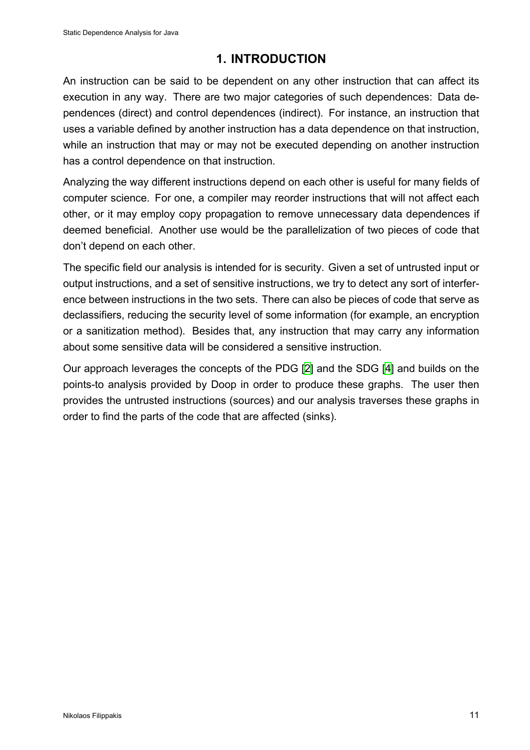### **1. INTRODUCTION**

<span id="page-10-0"></span>An instruction can be said to be dependent on any other instruction that can affect its execution in any way. There are two major categories of such dependences: Data dependences (direct) and control dependences (indirect). For instance, an instruction that uses a variable defined by another instruction has a data dependence on that instruction, while an instruction that may or may not be executed depending on another instruction has a control dependence on that instruction.

Analyzing the way different instructions depend on each other is useful for many fields of computer science. For one, a compiler may reorder instructions that will not affect each other, or it may employ copy propagation to remove unnecessary data dependences if deemed beneficial. Another use would be the parallelization of two pieces of code that don't depend on each other.

The specific field our analysis is intended for is security. Given a set of untrusted input or output instructions, and a set of sensitive instructions, we try to detect any sort of interference between instructions in the two sets. There can also be pieces of code that serve as declassifiers, reducing the security level of some information (for example, an encryption or a sanitization method). Besides that, any instruction that may carry any information about some sensitive data will be considered a sensitive instruction.

Our approach leverages the concepts of the PDG [2] and the SDG [4] and builds on the points-to analysis provided by Doop in order to produce these graphs. The user then provides the untrusted instructions (sources) and our analysis traverses these graphs in order to find the parts of the code that are affected [\(s](#page-34-0)inks).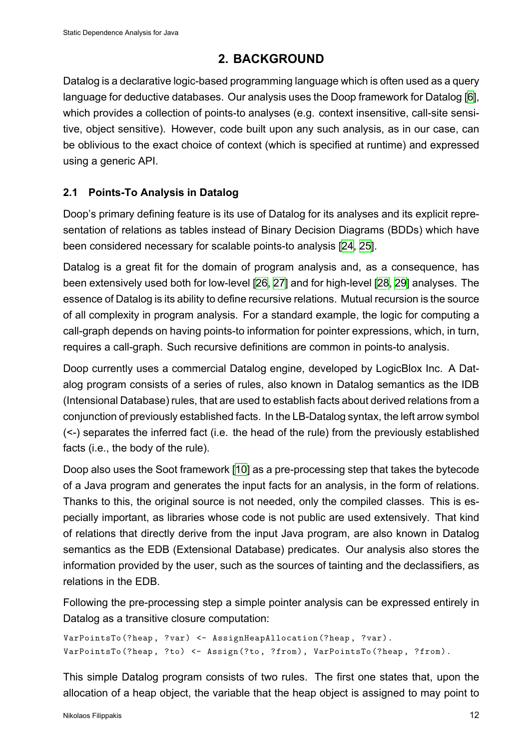### **2. BACKGROUND**

<span id="page-11-0"></span>Datalog is a declarative logic-based programming language which is often used as a query language for deductive databases. Our analysis uses the Doop framework for Datalog [6], which provides a collection of points-to analyses (e.g. context insensitive, call-site sensitive, object sensitive). However, code built upon any such analysis, as in our case, can be oblivious to the exact choice of context (which is specified at runtime) and expres[sed](#page-34-1) using a generic API.

#### **2.1 Points-To Analysis in Datalog**

<span id="page-11-1"></span>Doop's primary defining feature is its use of Datalog for its analyses and its explicit representation of relations as tables instead of Binary Decision Diagrams (BDDs) which have been considered necessary for scalable points-to analysis [24, 25].

Datalog is a great fit for the domain of program analysis and, as a consequence, has been extensively used both for low-level [26, 27] and for hig[h-le](#page-35-0)[vel](#page-35-1) [28, 29] analyses. The essence of Datalog is its ability to define recursive relations. Mutual recursion is the source of all complexity in program analysis. For a standard example, the logic for computing a call-graph depends on having points-to in[for](#page-35-2)[mat](#page-35-3)ion for pointer expr[ess](#page-35-4)i[ons](#page-35-5), which, in turn, requires a call-graph. Such recursive definitions are common in points-to analysis.

Doop currently uses a commercial Datalog engine, developed by LogicBlox Inc. A Datalog program consists of a series of rules, also known in Datalog semantics as the IDB (Intensional Database) rules, that are used to establish facts about derived relations from a conjunction of previously established facts. In the LB-Datalog syntax, the left arrow symbol (<-) separates the inferred fact (i.e. the head of the rule) from the previously established facts (i.e., the body of the rule).

Doop also uses the Soot framework [10] as a pre-processing step that takes the bytecode of a Java program and generates the input facts for an analysis, in the form of relations. Thanks to this, the original source is not needed, only the compiled classes. This is especially important, as libraries whos[e c](#page-34-2)ode is not public are used extensively. That kind of relations that directly derive from the input Java program, are also known in Datalog semantics as the EDB (Extensional Database) predicates. Our analysis also stores the information provided by the user, such as the sources of tainting and the declassifiers, as relations in the EDB.

Following the pre-processing step a simple pointer analysis can be expressed entirely in Datalog as a transitive closure computation:

```
VarPointsTo(?heap, ?var) <- AssignHeapAllocation(?heap, ?var).
VarPointsTo(?heap, ?to) <- Assign(?to, ?from), VarPointsTo(?heap, ?from).
```
This simple Datalog program consists of two rules. The first one states that, upon the allocation of a heap object, the variable that the heap object is assigned to may point to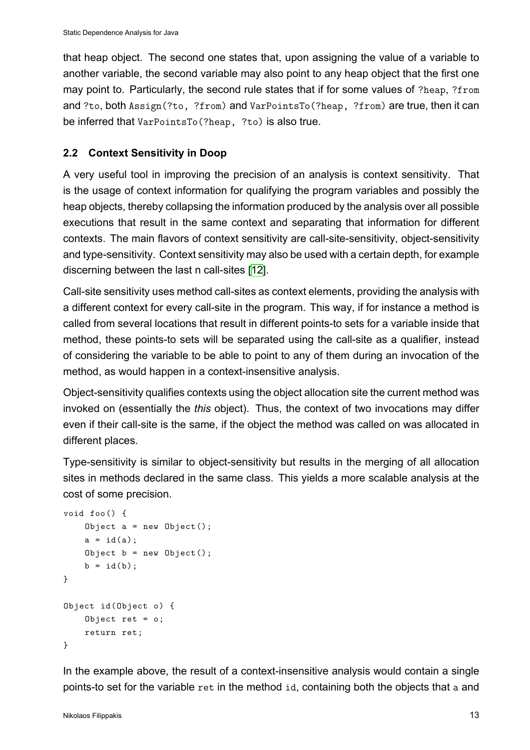that heap object. The second one states that, upon assigning the value of a variable to another variable, the second variable may also point to any heap object that the first one may point to. Particularly, the second rule states that if for some values of ?heap, ?from and ?to, both Assign(?to, ?from) and VarPointsTo(?heap, ?from) are true, then it can be inferred that VarPointsTo(?heap, ?to) is also true.

### **2.2 Context Sensitivity in Doop**

<span id="page-12-0"></span>A very useful tool in improving the precision of an analysis is context sensitivity. That is the usage of context information for qualifying the program variables and possibly the heap objects, thereby collapsing the information produced by the analysis over all possible executions that result in the same context and separating that information for different contexts. The main flavors of context sensitivity are call-site-sensitivity, object-sensitivity and type-sensitivity. Context sensitivity may also be used with a certain depth, for example discerning between the last n call-sites [12].

Call-site sensitivity uses method call-sites as context elements, providing the analysis with a different context for every call-site int[he](#page-34-3) program. This way, if for instance a method is called from several locations that result in different points-to sets for a variable inside that method, these points-to sets will be separated using the call-site as a qualifier, instead of considering the variable to be able to point to any of them during an invocation of the method, as would happen in a context-insensitive analysis.

Object-sensitivity qualifies contexts using the object allocation site the current method was invoked on (essentially the *this* object). Thus, the context of two invocations may differ even if their call-site is the same, if the object the method was called on was allocated in different places.

Type-sensitivity is similar to object-sensitivity but results in the merging of all allocation sites in methods declared in the same class. This yields a more scalable analysis at the cost of some precision.

```
void foo() {
    Object a = new Object();
    a = id(a);Object b = new Object();
    b = id(b);
}
Object id(Object o) {
    Object ret = o;
    return ret;
}
```
In the example above, the result of a context-insensitive analysis would contain a single points-to set for the variable ret in the method id, containing both the objects that a and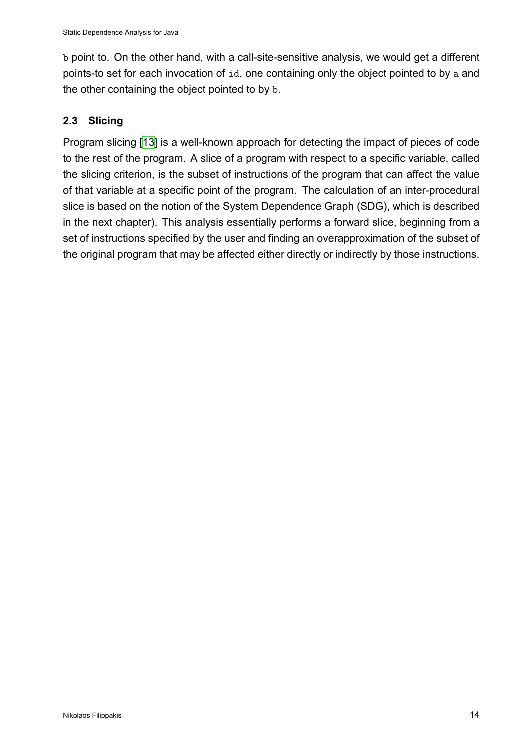b point to. On the other hand, with a call-site-sensitive analysis, we would get a different points-to set for each invocation of id, one containing only the object pointed to by a and the other containing the object pointed to by b.

#### **2.3 Slicing**

<span id="page-13-0"></span>Program slicing [13] is a well-known approach for detecting the impact of pieces of code to the rest of the program. A slice of a program with respect to a specific variable, called the slicing criterion, is the subset of instructions of the program that can affect the value of that variable [at a](#page-34-4) specific point of the program. The calculation of an inter-procedural slice is based on the notion of the System Dependence Graph (SDG), which is described in the next chapter). This analysis essentially performs a forward slice, beginning from a set of instructions specified by the user and finding an overapproximation of the subset of the original program that may be affected either directly or indirectly by those instructions.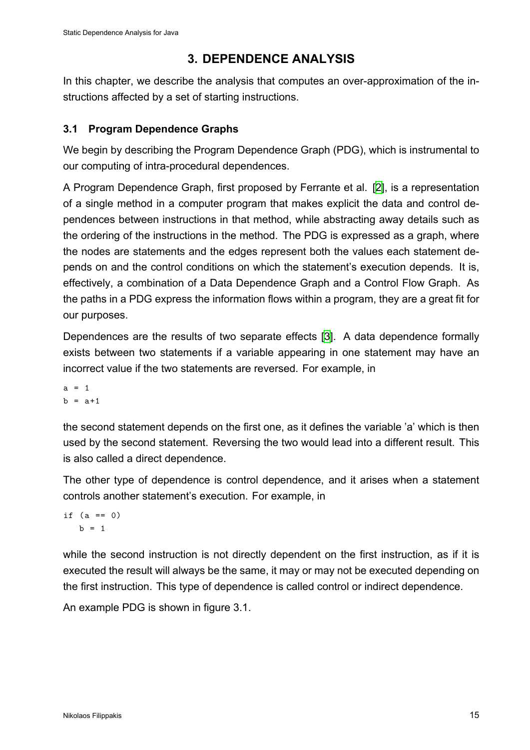## **3. DEPENDENCE ANALYSIS**

<span id="page-14-0"></span>In this chapter, we describe the analysis that computes an over-approximation of the instructions affected by a set of starting instructions.

#### **3.1 Program Dependence Graphs**

<span id="page-14-1"></span>We begin by describing the Program Dependence Graph (PDG), which is instrumental to our computing of intra-procedural dependences.

A Program Dependence Graph, first proposed by Ferrante et al. [2], is a representation of a single method in a computer program that makes explicit the data and control dependences between instructions in that method, while abstracting away details such as the ordering of the instructions in the method. The PDG is expres[se](#page-34-0)d as a graph, where the nodes are statements and the edges represent both the values each statement depends on and the control conditions on which the statement's execution depends. It is, effectively, a combination of a Data Dependence Graph and a Control Flow Graph. As the paths in a PDG express the information flows within a program, they are a great fit for our purposes.

Dependences are the results of two separate effects [3]. A data dependence formally exists between two statements if a variable appearing in one statement may have an incorrect value if the two statements are reversed. For example, in

 $a = 1$  $b = a + 1$ 

the second statement depends on the first one, as it defines the variable 'a' which is then used by the second statement. Reversing the two would lead into a different result. This is also called a direct dependence.

The other type of dependence is control dependence, and it arises when a statement controls another statement's execution. For example, in

if  $(a == 0)$  $b = 1$ 

while the second instruction is not directly dependent on the first instruction, as if it is executed the result will always be the same, it may or may not be executed depending on the first instruction. This type of dependence is called control or indirect dependence.

An example PDG is shown in figure 3.1.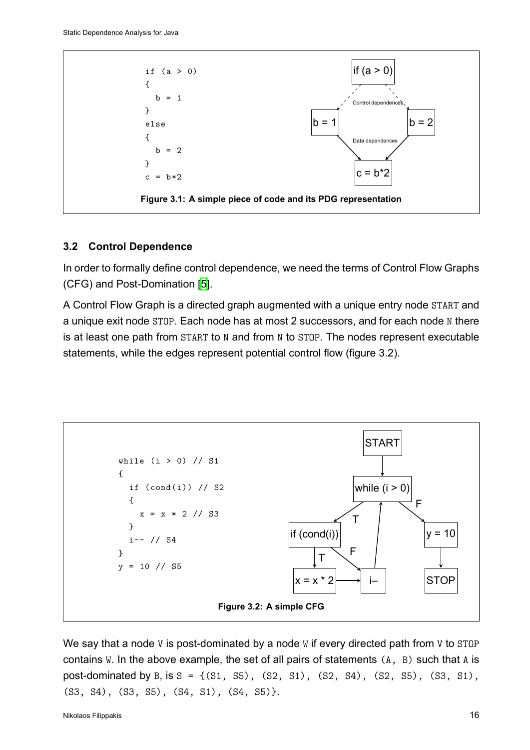<span id="page-15-1"></span>

#### **3.2 Control Dependence**

<span id="page-15-0"></span>In order to formally define control dependence, we need the terms of Control Flow Graphs (CFG) and Post-Domination [5].

A Control Flow Graph is a directed graph augmented with a unique entry node START and a unique exit node STOP. Eac[h](#page-34-5) node has at most 2 successors, and for each node N there is at least one path from START to N and from N to STOP. The nodes represent executable statements, while the edges represent potential control flow (figure 3.2).

<span id="page-15-2"></span>

We say that a node V is post-dominated by a node W if every directed path from V to STOP contains W. In the above example, the set of all pairs of statements  $(A, B)$  such that A is post-dominated by B, is  $S = \{(S1, S5), (S2, S1), (S2, S4), (S2, S5), (S3, S1),$ (S3, S4), (S3, S5), (S4, S1), (S4, S5)}.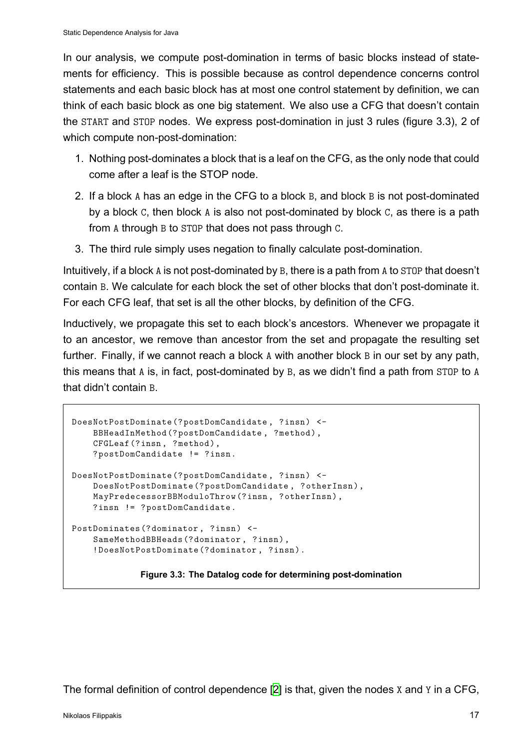In our analysis, we compute post-domination in terms of basic blocks instead of statements for efficiency. This is possible because as control dependence concerns control statements and each basic block has at most one control statement by definition, we can think of each basic block as one big statement. We also use a CFG that doesn't contain the START and STOP nodes. We express post-domination in just 3 rules (figure 3.3), 2 of which compute non-post-domination:

- 1. Nothing post-dominates a block that is a leaf on the CFG, as the only node that could come after a leaf is the STOP node.
- 2. If a block A has an edge in the CFG to a block B, and block B is not post-dominated by a block C, then block A is also not post-dominated by block C, as there is a path from A through B to STOP that does not pass through C.
- 3. The third rule simply uses negation to finally calculate post-domination.

Intuitively, if a block A is not post-dominated by B, there is a path from A to STOP that doesn't contain B. We calculate for each block the set of other blocks that don't post-dominate it. For each CFG leaf, that set is all the other blocks, by definition of the CFG.

Inductively, we propagate this set to each block's ancestors. Whenever we propagate it to an ancestor, we remove than ancestor from the set and propagate the resulting set further. Finally, if we cannot reach a block A with another block B in our set by any path, this means that A is, in fact, post-dominated by B, as we didn't find a path from STOP to A that didn't contain B.

```
DoesNotPostDominate(?postDomCandidate , ?insn) <-
    BBHeadInMethod(?postDomCandidate , ?method),
    CFGLeaf(?insn, ?method),
    ?postDomCandidate != ?insn.
DoesNotPostDominate(?postDomCandidate , ?insn) <-
    DoesNotPostDominate(?postDomCandidate , ?otherInsn),
    MayPredecessorBBModuloThrow(?insn, ?otherInsn),
    ?insn != ?postDomCandidate.
PostDominates(?dominator, ?insn) <-
    SameMethodBBHeads(?dominator , ?insn),
    !DoesNotPostDominate(?dominator , ?insn).
```
**Figure 3.3: The Datalog code for determining post-domination**

The formal definition of control dependence [2] is that, given the nodes X and Y in a CFG,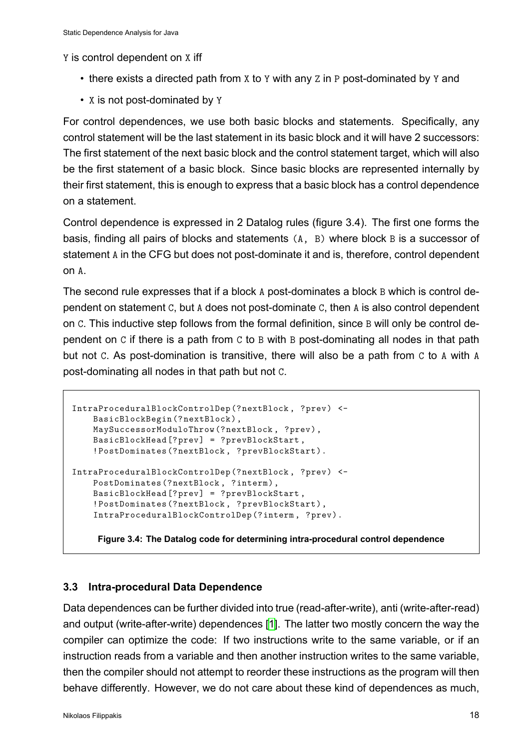Y is control dependent on X iff

- there exists a directed path from x to y with any z in P post-dominated by y and
- X is not post-dominated by Y

For control dependences, we use both basic blocks and statements. Specifically, any control statement will be the last statement in its basic block and it will have 2 successors: The first statement of the next basic block and the control statement target, which will also be the first statement of a basic block. Since basic blocks are represented internally by their first statement, this is enough to express that a basic block has a control dependence on a statement.

Control dependence is expressed in 2 Datalog rules (figure 3.4). The first one forms the basis, finding all pairs of blocks and statements (A, B) where block B is a successor of statement A in the CFG but does not post-dominate it and is, therefore, control dependent on A.

The second rule expresses that if a block A post-dominates a block B which is control dependent on statement C, but A does not post-dominate C, then A is also control dependent on C. This inductive step follows from the formal definition, since B will only be control dependent on C if there is a path from C to B with B post-dominating all nodes in that path but not C. As post-domination is transitive, there will also be a path from C to A with A post-dominating all nodes in that path but not C.

```
IntraProceduralBlockControlDep(?nextBlock , ?prev) <-
    BasicBlockBegin(?nextBlock),
    MaySuccessorModuloThrow(?nextBlock , ?prev),
    BasicBlockHead[?prev] = ?prevBlockStart ,
    !PostDominates(?nextBlock , ?prevBlockStart).
IntraProceduralBlockControlDep(?nextBlock , ?prev) <-
    PostDominates(?nextBlock, ?interm),
    BasicBlockHead[?prev] = ?prevBlockStart ,
    !PostDominates(?nextBlock , ?prevBlockStart),
    IntraProceduralBlockControlDep(?interm , ?prev).
```
**Figure 3.4: The Datalog code for determining intra-procedural control dependence**

#### **3.3 Intra-procedural Data Dependence**

<span id="page-17-0"></span>Data dependences can be further divided into true (read-after-write), anti (write-after-read) and output (write-after-write) dependences [1]. The latter two mostly concern the way the compiler can optimize the code: If two instructions write to the same variable, or if an instruction reads from a variable and then another instruction writes to the same variable, then the compiler should not attempt to reor[de](#page-34-6)r these instructions as the program will then behave differently. However, we do not care about these kind of dependences as much,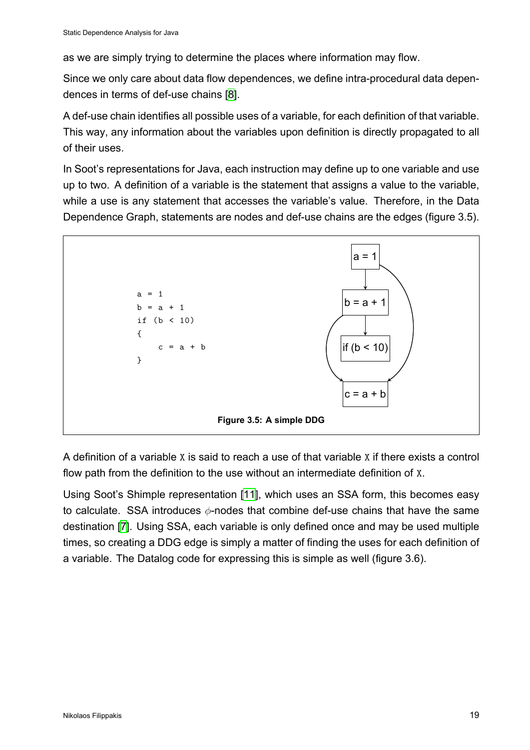as we are simply trying to determine the places where information may flow.

Since we only care about data flow dependences, we define intra-procedural data dependences in terms of def-use chains [8].

A def-use chain identifies all possible uses of a variable, for each definition of that variable. This way, any information about th[e](#page-34-7) variables upon definition is directly propagated to all of their uses.

In Soot's representations for Java, each instruction may define up to one variable and use up to two. A definition of a variable is the statement that assigns a value to the variable, while a use is any statement that accesses the variable's value. Therefore, in the Data Dependence Graph, statements are nodes and def-use chains are the edges (figure 3.5).

<span id="page-18-0"></span>

A definition of a variable X is said to reach a use of that variable X if there exists a control flow path from the definition to the use without an intermediate definition of X.

Using Soot's Shimple representation [11], which uses an SSA form, this becomes easy to calculate. SSA introduces *ϕ*-nodes that combine def-use chains that have the same destination [7]. Using SSA, each variable is only defined once and may be used multiple times, so creating a DDG edge is simp[ly a](#page-34-8) matter of finding the uses for each definition of a variable. The Datalog code for expressing this is simple as well (figure 3.6).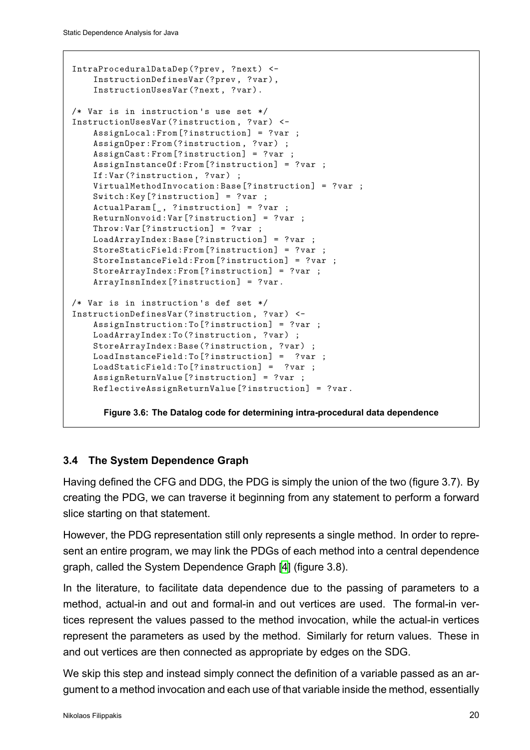```
IntraProceduralDataDep(?prev, ?next) <-
    InstructionDefinesVar(?prev, ?var),
    InstructionUsesVar(?next, ?var).
/* Var is in instruction 's use set */
InstructionUsesVar(?instruction , ?var) <-
    AssignLocal:From[?instruction] = ?var ;
    AssignOper:From(?instruction, ?var) ;
   AssignCast:From[?instruction] = ?var ;
    AssignInstanceOf:From[?instruction] = ?var ;
    If:Var(?instruction, ?var) ;
    VirtualMethodInvocation:Base[?instruction] = ?var ;
    Switch:Key[?instruction] = ?var ;
    ActualParam[_, ?instruction] = ?var ;
    ReturnNonvoid:Var[?instruction] = ?var ;
    Throw:Var[?instruction] = ?var ;
    LoadArrayIndex:Base[?instruction] = ?var ;
    StoreStaticField:From[?instruction] = ?var ;
    StoreInstanceField:From[?instruction] = ?var ;
    StoreArrayIndex:From[?instruction] = ?var ;
    ArrayInsnIndex[?instruction] = ?var.
/* Var is in instruction 's def set */
InstructionDefinesVar(?instruction , ?var) <-
    AssignInstruction:To[?instruction] = ?var ;
    LoadArrayIndex:To(?instruction, ?var) ;
    StoreArrayIndex:Base(?instruction, ?var) ;
    LoadInstanceField:To[?instruction] = ?var ;
    LoadStaticField:To[?instruction] = ?var ;
    AssignReturnValue[?instruction] = ?var ;
    ReflectiveAssignReturnValue[?instruction] = ?var.
```
**Figure 3.6: The Datalog code for determining intra-procedural data dependence**

#### **3.4 The System Dependence Graph**

<span id="page-19-0"></span>Having defined the CFG and DDG, the PDG is simply the union of the two (figure 3.7). By creating the PDG, we can traverse it beginning from any statement to perform a forward slice starting on that statement.

However, the PDG representation still only represents a single method. In order to represent an entire program, we may link the PDGs of each method into a central dependence graph, called the System Dependence Graph [4] (figure 3.8).

In the literature, to facilitate data dependence due to the passing of parameters to a method, actual-in and out and formal-in and [ou](#page-34-9)t vertices are used. The formal-in vertices represent the values passed to the method invocation, while the actual-in vertices represent the parameters as used by the method. Similarly for return values. These in and out vertices are then connected as appropriate by edges on the SDG.

We skip this step and instead simply connect the definition of a variable passed as an argument to a method invocation and each use of that variable inside the method, essentially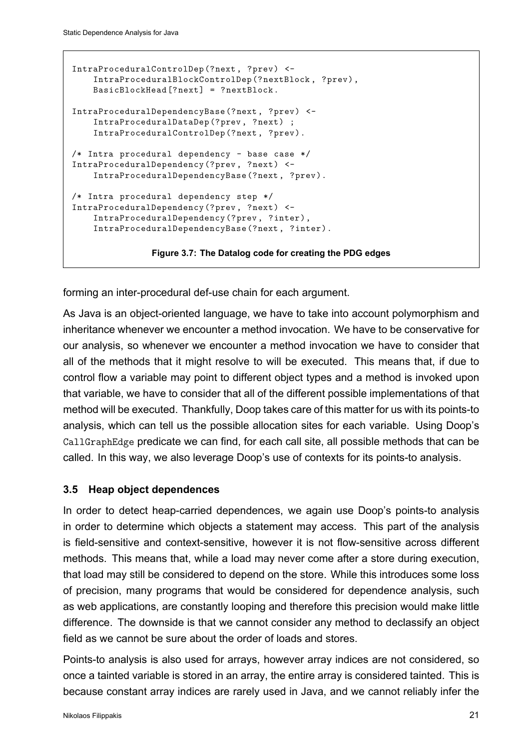```
IntraProceduralControlDep(?next, ?prev) <-
    IntraProceduralBlockControlDep(?nextBlock , ?prev),
    BasicBlockHead[?next] = ?nextBlock.
IntraProceduralDependencyBase(?next, ?prev) <-
   IntraProceduralDataDep(?prev, ?next) ;
    IntraProceduralControlDep(?next, ?prev).
/* Intra procedural dependency - base case */
IntraProceduralDependency(?prev, ?next) <-
    IntraProceduralDependencyBase(?next, ?prev).
/* Intra procedural dependency step */
IntraProceduralDependency(?prev, ?next) <-
    IntraProceduralDependency(?prev, ?inter),
    IntraProceduralDependencyBase(?next, ?inter).
```
**Figure 3.7: The Datalog code for creating the PDG edges**

forming an inter-procedural def-use chain for each argument.

As Java is an object-oriented language, we have to take into account polymorphism and inheritance whenever we encounter a method invocation. We have to be conservative for our analysis, so whenever we encounter a method invocation we have to consider that all of the methods that it might resolve to will be executed. This means that, if due to control flow a variable may point to different object types and a method is invoked upon that variable, we have to consider that all of the different possible implementations of that method will be executed. Thankfully, Doop takes care of this matter for us with its points-to analysis, which can tell us the possible allocation sites for each variable. Using Doop's CallGraphEdge predicate we can find, for each call site, all possible methods that can be called. In this way, we also leverage Doop's use of contexts for its points-to analysis.

#### <span id="page-20-0"></span>**3.5 Heap object dependences**

In order to detect heap-carried dependences, we again use Doop's points-to analysis in order to determine which objects a statement may access. This part of the analysis is field-sensitive and context-sensitive, however it is not flow-sensitive across different methods. This means that, while a load may never come after a store during execution, that load may still be considered to depend on the store. While this introduces some loss of precision, many programs that would be considered for dependence analysis, such as web applications, are constantly looping and therefore this precision would make little difference. The downside is that we cannot consider any method to declassify an object field as we cannot be sure about the order of loads and stores.

Points-to analysis is also used for arrays, however array indices are not considered, so once a tainted variable is stored in an array, the entire array is considered tainted. This is because constant array indices are rarely used in Java, and we cannot reliably infer the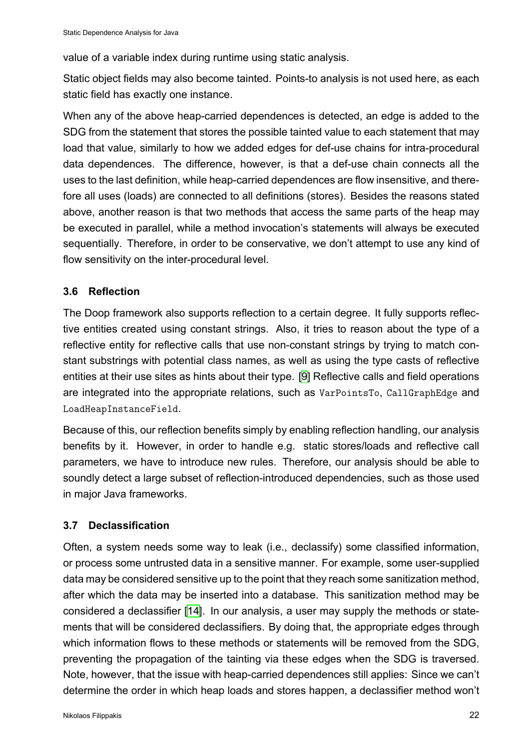value of a variable index during runtime using static analysis.

Static object fields may also become tainted. Points-to analysis is not used here, as each static field has exactly one instance.

When any of the above heap-carried dependences is detected, an edge is added to the SDG from the statement that stores the possible tainted value to each statement that may load that value, similarly to how we added edges for def-use chains for intra-procedural data dependences. The difference, however, is that a def-use chain connects all the uses to the last definition, while heap-carried dependences are flow insensitive, and therefore all uses (loads) are connected to all definitions (stores). Besides the reasons stated above, another reason is that two methods that access the same parts of the heap may be executed in parallel, while a method invocation's statements will always be executed sequentially. Therefore, in order to be conservative, we don't attempt to use any kind of flow sensitivity on the inter-procedural level.

#### **3.6 Reflection**

<span id="page-21-0"></span>The Doop framework also supports reflection to a certain degree. It fully supports reflective entities created using constant strings. Also, it tries to reason about the type of a reflective entity for reflective calls that use non-constant strings by trying to match constant substrings with potential class names, as well as using the type casts of reflective entities at their use sites as hints about their type. [9] Reflective calls and field operations are integrated into the appropriate relations, such as VarPointsTo, CallGraphEdge and LoadHeapInstanceField.

Because of this, our reflection benefits simply by en[ab](#page-34-10)ling reflection handling, our analysis benefits by it. However, in order to handle e.g. static stores/loads and reflective call parameters, we have to introduce new rules. Therefore, our analysis should be able to soundly detect a large subset of reflection-introduced dependencies, such as those used in major Java frameworks.

#### **3.7 Declassification**

<span id="page-21-1"></span>Often, a system needs some way to leak (i.e., declassify) some classified information, or process some untrusted data in a sensitive manner. For example, some user-supplied data may be considered sensitive up to the point that they reach some sanitization method, after which the data may be inserted into a database. This sanitization method may be considered a declassifier [14]. In our analysis, a user may supply the methods or statements that will be considered declassifiers. By doing that, the appropriate edges through which information flows to these methods or statements will be removed from the SDG, preventing the propagatio[n o](#page-34-11)f the tainting via these edges when the SDG is traversed. Note, however, that the issue with heap-carried dependences still applies: Since we can't determine the order in which heap loads and stores happen, a declassifier method won't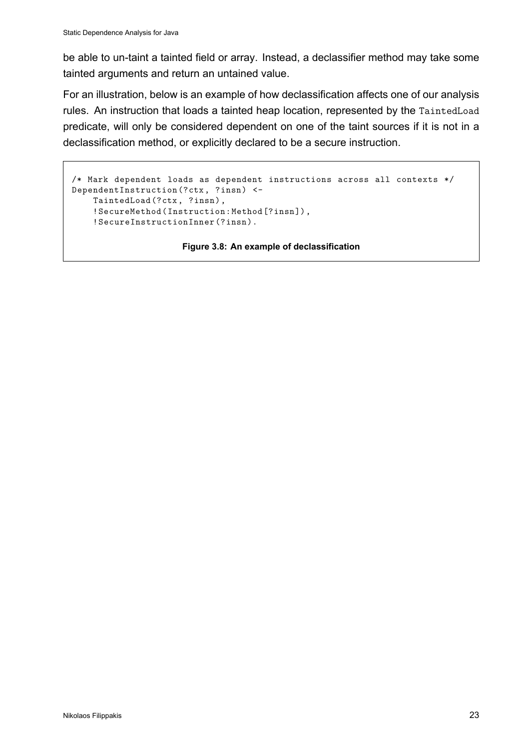be able to un-taint a tainted field or array. Instead, a declassifier method may take some tainted arguments and return an untained value.

For an illustration, below is an example of how declassification affects one of our analysis rules. An instruction that loads a tainted heap location, represented by the TaintedLoad predicate, will only be considered dependent on one of the taint sources if it is not in a declassification method, or explicitly declared to be a secure instruction.

```
/* Mark dependent loads as dependent instructions across all contexts */
DependentInstruction(?ctx, ?insn) <-
   TaintedLoad(?ctx, ?insn),
   !SecureMethod(Instruction:Method[?insn]),
   !SecureInstructionInner(?insn).
```
**Figure 3.8: An example of declassification**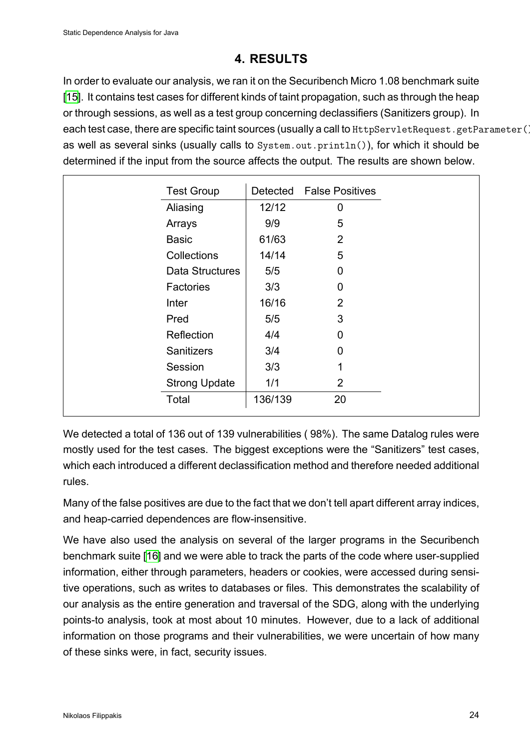### **4. RESULTS**

<span id="page-23-0"></span>In order to evaluate our analysis, we ran it on the Securibench Micro 1.08 benchmark suite [15]. It contains test cases for different kinds of taint propagation, such as through the heap or through sessions, as well as a test group concerning declassifiers (Sanitizers group). In each test case, there are specific taint sources (usually a call to HttpServletRequest.getParameter()) [as](#page-34-12) well as several sinks (usually calls to System.out.println()), for which it should be determined if the input from the source affects the output. The results are shown below.

| <b>Test Group</b>    |         | Detected False Positives |
|----------------------|---------|--------------------------|
| Aliasing             | 12/12   | 0                        |
| Arrays               | 9/9     | 5                        |
| <b>Basic</b>         | 61/63   | 2                        |
| Collections          | 14/14   | 5                        |
| Data Structures      | 5/5     | 0                        |
| Factories            | 3/3     | 0                        |
| Inter                | 16/16   | 2                        |
| Pred                 | 5/5     | 3                        |
| Reflection           | 4/4     | 0                        |
| <b>Sanitizers</b>    | 3/4     | 0                        |
| Session              | 3/3     | 1                        |
| <b>Strong Update</b> | 1/1     | $\overline{2}$           |
| Total                | 136/139 | 20                       |

We detected a total of 136 out of 139 vulnerabilities ( 98%). The same Datalog rules were mostly used for the test cases. The biggest exceptions were the "Sanitizers" test cases, which each introduced a different declassification method and therefore needed additional rules.

Many of the false positives are due to the fact that we don't tell apart different array indices, and heap-carried dependences are flow-insensitive.

We have also used the analysis on several of the larger programs in the Securibench benchmark suite [16] and we were able to track the parts of the code where user-supplied information, either through parameters, headers or cookies, were accessed during sensitive operations, such as writes to databases or files. This demonstrates the scalability of our analysis as t[he e](#page-34-13)ntire generation and traversal of the SDG, along with the underlying points-to analysis, took at most about 10 minutes. However, due to a lack of additional information on those programs and their vulnerabilities, we were uncertain of how many of these sinks were, in fact, security issues.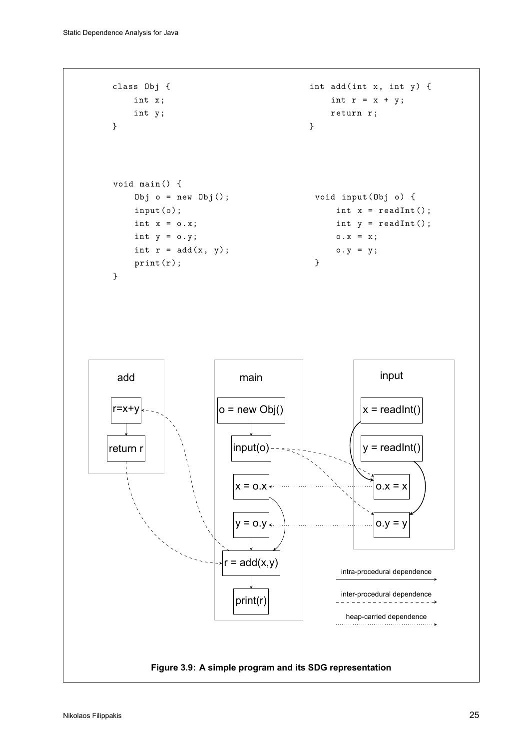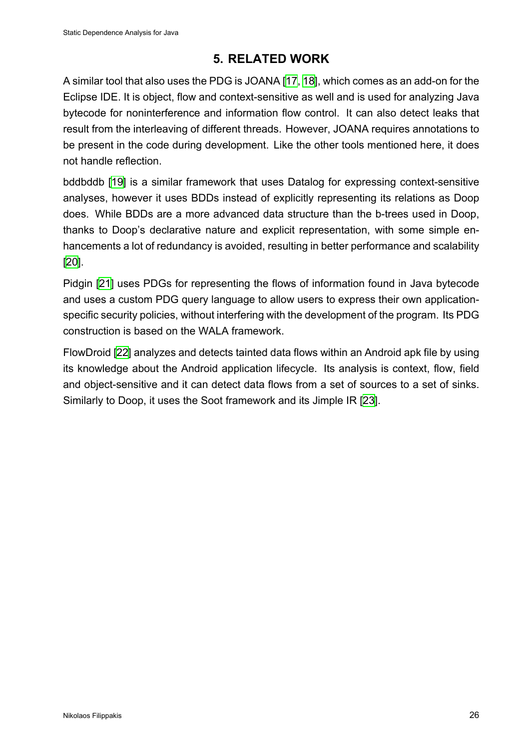## **5. RELATED WORK**

<span id="page-25-0"></span>A similar tool that also uses the PDG is JOANA [17, 18], which comes as an add-on for the Eclipse IDE. It is object, flow and context-sensitive as well and is used for analyzing Java bytecode for noninterference and information flow control. It can also detect leaks that result from the interleaving of different threads. [Ho](#page-34-14)[wev](#page-34-15)er, JOANA requires annotations to be present in the code during development. Like the other tools mentioned here, it does not handle reflection.

bddbddb [19] is a similar framework that uses Datalog for expressing context-sensitive analyses, however it uses BDDs instead of explicitly representing its relations as Doop does. While BDDs are a more advanced data structure than the b-trees used in Doop, thanks to [Do](#page-34-16)op's declarative nature and explicit representation, with some simple enhancements a lot of redundancy is avoided, resulting in better performance and scalability [20].

Pidgin [21] uses PDGs for representing the flows of information found in Java bytecode [and](#page-34-17) uses a custom PDG query language to allow users to express their own applicationspecific security policies, without interfering with the development of the program. Its PDG constru[ctio](#page-35-6)n is based on the WALA framework.

FlowDroid [22] analyzes and detects tainted data flows within an Android apk file by using its knowledge about the Android application lifecycle. Its analysis is context, flow, field and object-sensitive and it can detect data flows from a set of sources to a set of sinks. Similarly to [Do](#page-35-7)op, it uses the Soot framework and its Jimple IR [23].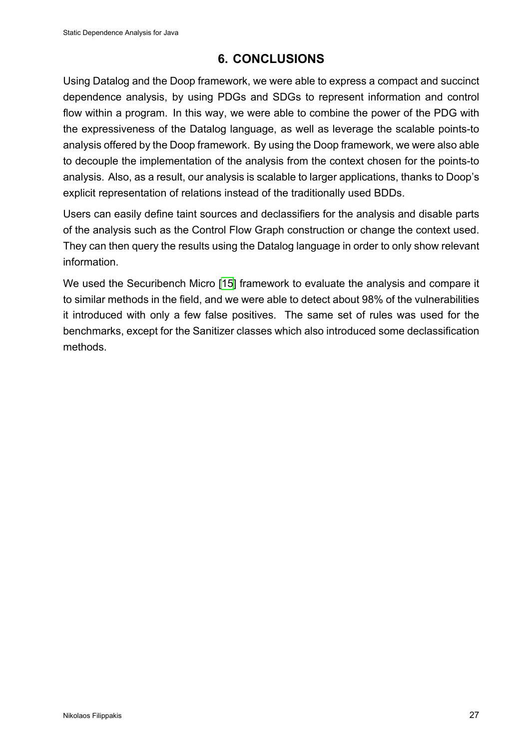### **6. CONCLUSIONS**

<span id="page-26-0"></span>Using Datalog and the Doop framework, we were able to express a compact and succinct dependence analysis, by using PDGs and SDGs to represent information and control flow within a program. In this way, we were able to combine the power of the PDG with the expressiveness of the Datalog language, as well as leverage the scalable points-to analysis offered by the Doop framework. By using the Doop framework, we were also able to decouple the implementation of the analysis from the context chosen for the points-to analysis. Also, as a result, our analysis is scalable to larger applications, thanks to Doop's explicit representation of relations instead of the traditionally used BDDs.

Users can easily define taint sources and declassifiers for the analysis and disable parts of the analysis such as the Control Flow Graph construction or change the context used. They can then query the results using the Datalog language in order to only show relevant information.

We used the Securibench Micro [15] framework to evaluate the analysis and compare it to similar methods in the field, and we were able to detect about 98% of the vulnerabilities it introduced with only a few false positives. The same set of rules was used for the benchmarks, except for the Saniti[zer](#page-34-12) classes which also introduced some declassification methods.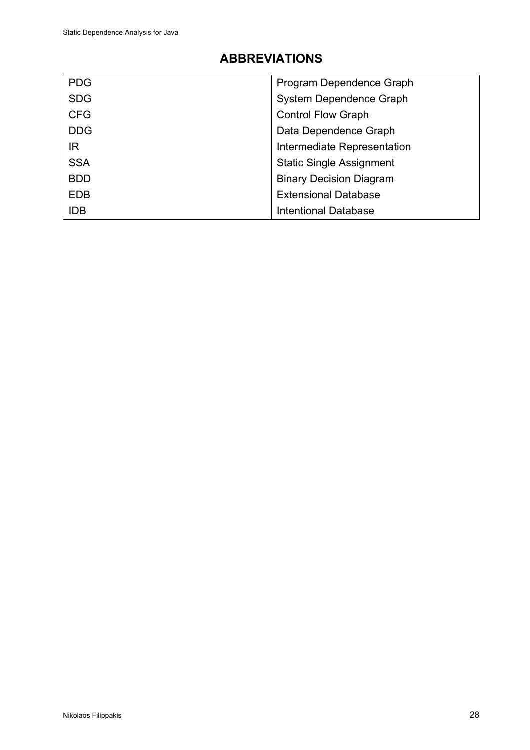# **ABBREVIATIONS**

<span id="page-27-0"></span>

| <b>PDG</b> | Program Dependence Graph        |
|------------|---------------------------------|
| <b>SDG</b> | System Dependence Graph         |
| <b>CFG</b> | <b>Control Flow Graph</b>       |
| <b>DDG</b> | Data Dependence Graph           |
| IR.        | Intermediate Representation     |
| <b>SSA</b> | <b>Static Single Assignment</b> |
| <b>BDD</b> | <b>Binary Decision Diagram</b>  |
| <b>EDB</b> | <b>Extensional Database</b>     |
| <b>IDB</b> | <b>Intentional Database</b>     |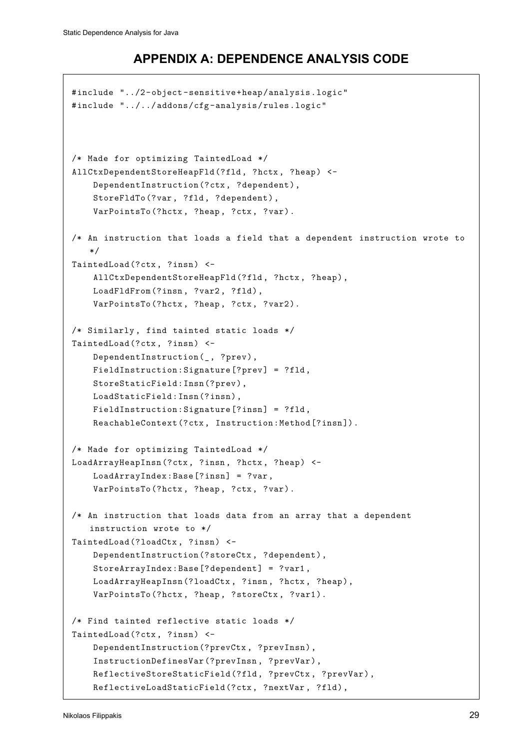### **APPENDIX A: DEPENDENCE ANALYSIS CODE**

```
#include "../2-object -sensitive+heap/analysis.logic"
#include "../../addons/cfg-analysis/rules.logic"
/* Made for optimizing TaintedLoad */
AllCtxDependentStoreHeapFld(?fld, ?hctx, ?heap) <-
    DependentInstruction(?ctx, ?dependent),
    StoreFldTo(?var, ?fld, ?dependent),
    VarPointsTo(?hctx, ?heap, ?ctx, ?var).
/* An instruction that loads a field that a dependent instruction wrote to
   */
TaintedLoad(?ctx, ?insn) <-
    AllCtxDependentStoreHeapFld(?fld, ?hctx, ?heap),
    LoadFldFrom(?insn, ?var2, ?fld),
    VarPointsTo(?hctx, ?heap, ?ctx, ?var2).
/* Similarly, find tainted static loads */
TaintedLoad(?ctx, ?insn) <-
    DependentInstruction(_, ?prev),
    FieldInstruction:Signature[?prev] = ?fld,
    StoreStaticField:Insn(?prev),
    LoadStaticField:Insn(?insn),
    FieldInstruction:Signature[?insn] = ?fld,
    ReachableContext(?ctx, Instruction:Method[?insn]).
/* Made for optimizing TaintedLoad */
LoadArrayHeapInsn(?ctx, ?insn, ?hctx, ?heap) <-
    LoadArrayIndex:Base[?insn] = ?var,
    VarPointsTo(?hctx, ?heap, ?ctx, ?var).
/* An instruction that loads data from an array that a dependent
   instruction wrote to */
TaintedLoad(?loadCtx , ?insn) <-
    DependentInstruction(?storeCtx , ?dependent),
    StoreArrayIndex:Base[?dependent] = ?var1,
    LoadArrayHeapInsn(?loadCtx , ?insn, ?hctx, ?heap),
    VarPointsTo(?hctx, ?heap, ?storeCtx , ?var1).
/* Find tainted reflective static loads */
TaintedLoad(?ctx, ?insn) <-
    DependentInstruction(?prevCtx , ?prevInsn),
    InstructionDefinesVar(?prevInsn, ?prevVar),
    ReflectiveStoreStaticField(?fld, ?prevCtx, ?prevVar),
    ReflectiveLoadStaticField(?ctx, ?nextVar , ?fld),
```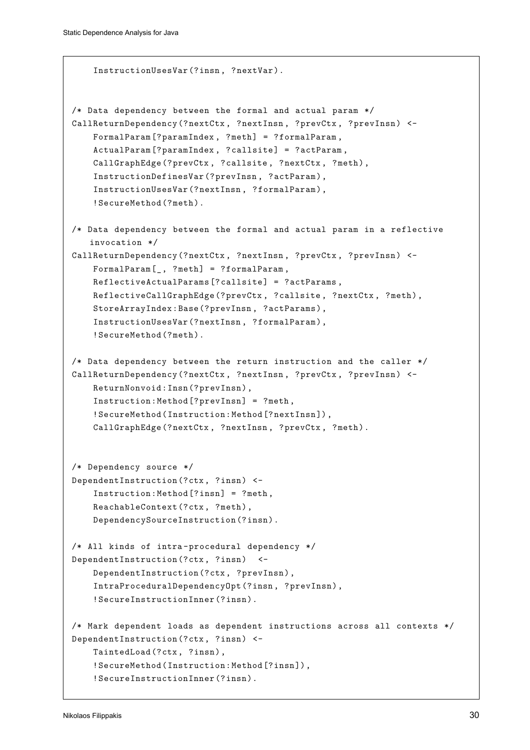```
InstructionUsesVar(?insn, ?nextVar).
/* Data dependency between the formal and actual param */
CallReturnDependency(?nextCtx, ?nextInsn, ?prevCtx, ?prevInsn) <-
    FormalParam[?paramIndex , ?meth] = ?formalParam ,
    ActualParam[?paramIndex , ?callsite] = ?actParam ,
    CallGraphEdge(?prevCtx , ?callsite , ?nextCtx , ?meth),
    InstructionDefinesVar(?prevInsn, ?actParam),
    InstructionUsesVar(?nextInsn, ?formalParam),
    !SecureMethod(?meth).
/* Data dependency between the formal and actual param in a reflective
   invocation */
CallReturnDependency(?nextCtx, ?nextInsn, ?prevCtx, ?prevInsn) <-
   FormalParam[_, ?meth] = ?formalParam ,
    ReflectiveActualParams[?callsite] = ?actParams ,
   ReflectiveCallGraphEdge(?prevCtx, ?callsite, ?nextCtx, ?meth),
   StoreArrayIndex:Base(?prevInsn, ?actParams),
    InstructionUsesVar(?nextInsn, ?formalParam),
    !SecureMethod(?meth).
/* Data dependency between the return instruction and the caller */
CallReturnDependency(?nextCtx, ?nextInsn, ?prevCtx, ?prevInsn) <-
   ReturnNonvoid:Insn(?prevInsn),
    Instruction:Method[?prevInsn] = ?meth,
    !SecureMethod(Instruction:Method[?nextInsn]),
    CallGraphEdge(?nextCtx, ?nextInsn, ?prevCtx, ?meth).
/* Dependency source */
DependentInstruction(?ctx, ?insn) <-
    Instruction:Method[?insn] = ?meth,
   ReachableContext(?ctx, ?meth),
   DependencySourceInstruction(?insn).
/* All kinds of intra -procedural dependency */
DependentInstruction(?ctx, ?insn) <-
   DependentInstruction(?ctx, ?prevInsn),
    IntraProceduralDependencyOpt(?insn, ?prevInsn),
    !SecureInstructionInner(?insn).
/* Mark dependent loads as dependent instructions across all contexts */
DependentInstruction(?ctx, ?insn) <-
    TaintedLoad(?ctx, ?insn),
    !SecureMethod(Instruction:Method[?insn]),
    !SecureInstructionInner(?insn).
```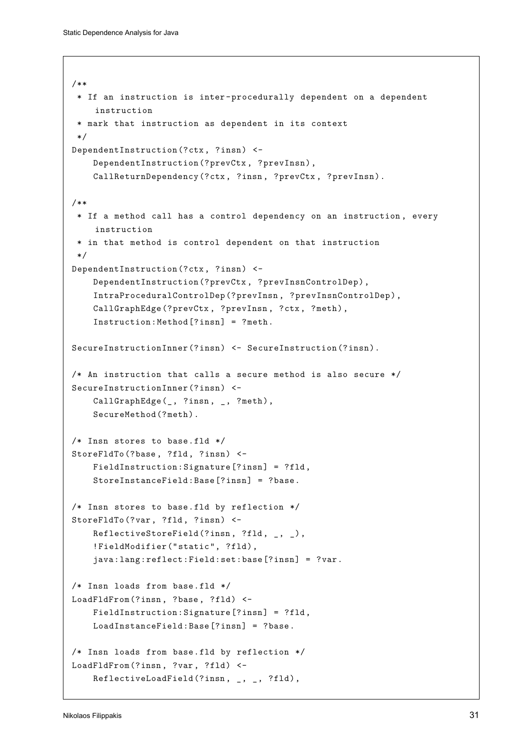```
/**
 * If an instruction is inter -procedurally dependent on a dependent
    instruction
 * mark that instruction as dependent in its context
 */
DependentInstruction(?ctx, ?insn) <-
    DependentInstruction(?prevCtx , ?prevInsn),
    CallReturnDependency(?ctx, ?insn, ?prevCtx , ?prevInsn).
/**
 * If a method call has a control dependency on an instruction , every
    instruction
 * in that method is control dependent on that instruction
 */
DependentInstruction(?ctx, ?insn) <-
    DependentInstruction(?prevCtx , ?prevInsnControlDep),
    IntraProceduralControlDep(?prevInsn , ?prevInsnControlDep),
    CallGraphEdge(?prevCtx, ?prevInsn, ?ctx, ?meth),
    Instruction:Method[?insn] = ?meth.
SecureInstructionInner(?insn) <- SecureInstruction(?insn).
/* An instruction that calls a secure method is also secure */
SecureInstructionInner(?insn) <-
    CallGraphEdge(_, ?insn, _, ?meth),
    SecureMethod(?meth).
/* Insn stores to base.fld */
StoreFldTo(?base, ?fld, ?insn) <-
    FieldInstruction:Signature[?insn] = ?fld,
    StoreInstanceField:Base[?insn] = ?base.
/* Insn stores to base.fld by reflection */
StoreFldTo(?var, ?fld, ?insn) <-
    ReflectiveStoreField(?insn, ?fld, _, _),
    !FieldModifier("static", ?fld),
    java:lang:reflect:Field:set:base[?insn] = ?var.
/* Insn loads from base.fld */
LoadFldFrom(?insn, ?base, ?fld) <-
    FieldInstruction:Signature[?insn] = ?fld,
    LoadInstanceField:Base[?insn] = ?base.
/* Insn loads from base.fld by reflection */
LoadFldFrom(?insn, ?var, ?fld) <-
    ReflectiveLoadField(?insn, _, _, ?fld),
```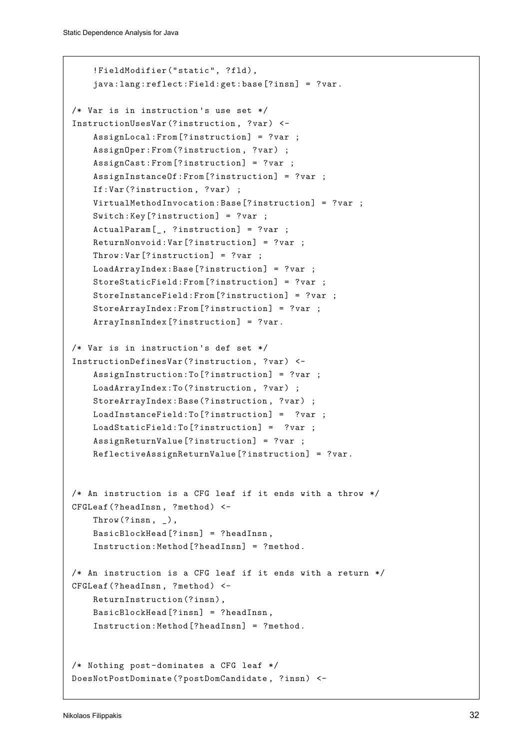```
!FieldModifier("static", ?fld),
    java:lang:reflect:Field:get:base[?insn] = ?var.
/* Var is in instruction 's use set */
InstructionUsesVar(?instruction , ?var) <-
    AssignLocal:From[?instruction] = ?var ;
    AssignOper:From(?instruction, ?var) ;
    AssignCast:From[?instruction] = ?var ;
   AssignInstanceOf:From[?instruction] = ?var ;
    If:Var(?instruction, ?var) ;
   VirtualMethodInvocation:Base[?instruction] = ?var ;
   Switch:Key[?instruction] = ?var ;
    ActualParam[_, ?instruction] = ?var ;
   ReturnNonvoid:Var[?instruction] = ?var ;
   Throw:Var[?instruction] = ?var ;
   LoadArrayIndex:Base[?instruction] = ?var ;
    StoreStaticField:From[?instruction] = ?var ;
    StoreInstanceField:From[?instruction] = ?var ;
   StoreArrayIndex:From[?instruction] = ?var ;
    ArrayInsnIndex[?instruction] = ?var.
/* Var is in instruction 's def set */
InstructionDefinesVar(?instruction , ?var) <-
    AssignInstruction:To[?instruction] = ?var ;
   LoadArrayIndex:To(?instruction, ?var) ;
   StoreArrayIndex:Base(?instruction, ?var) ;
   LoadInstanceField:To[?instruction] = ?var ;
   LoadStaticField:To[?instruction] = ?var ;
   AssignReturnValue[?instruction] = ?var ;
   ReflectiveAssignReturnValue[?instruction] = ?var.
/* An instruction is a CFG leaf if it ends with a throw */
CFGLeaf (?headInsn, ?method) <-
    Throw(?insn, _),
   BasicBlockHead[?insn] = ?headInsn ,
    Instruction:Method[?headInsn] = ?method.
/* An instruction is a CFG leaf if it ends with a return */
CFGLeaf (?headInsn, ?method) <-
   ReturnInstruction(?insn),
   BasicBlockHead[?insn] = ?headInsn ,
    Instruction:Method[?headInsn] = ?method.
/* Nothing post-dominates a CFG leaf */
DoesNotPostDominate(?postDomCandidate , ?insn) <-
```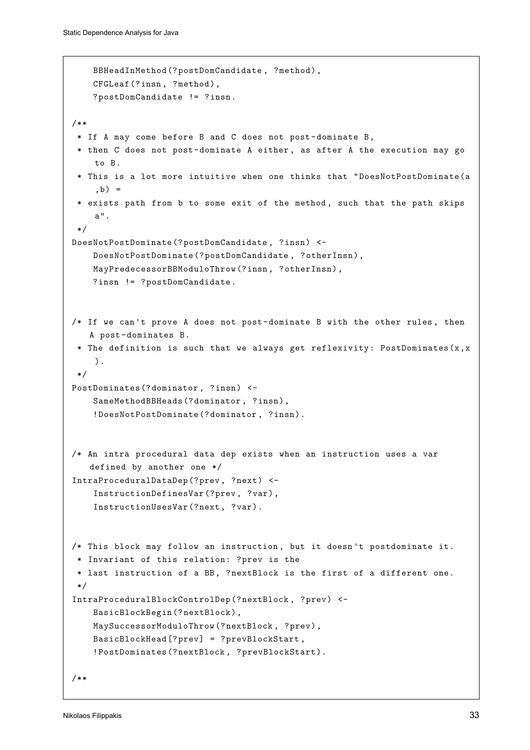```
BBHeadInMethod(?postDomCandidate , ?method),
   CFGLeaf(?insn, ?method),
    ?postDomCandidate != ?insn.
/**
 * If A may come before B and C does not post-dominate B,
 * then C does not post-dominate A either , as after A the execution may go
    to B.
 * This is a lot more intuitive when one thinks that "DoesNotPostDominate(a
    ,b) =* exists path from b to some exit of the method , such that the path skips
    a".
 */
DoesNotPostDominate(?postDomCandidate , ?insn) <-
   DoesNotPostDominate(?postDomCandidate , ?otherInsn),
   MayPredecessorBBModuloThrow(?insn, ?otherInsn),
   ?insn != ?postDomCandidate.
/* If we can't prove A does not post-dominate B with the other rules, then
   A post-dominates B.
 * The definition is such that we always get reflexivity: PostDominates(x,x
    ).
 */
PostDominates(?dominator , ?insn) <-
    SameMethodBBHeads(?dominator , ?insn),
    !DoesNotPostDominate(?dominator , ?insn).
/* An intra procedural data dep exists when an instruction uses a var
   defined by another one */
IntraProceduralDataDep(?prev, ?next) <-
   InstructionDefinesVar(?prev, ?var),
    InstructionUsesVar(?next, ?var).
/* This block may follow an instruction , but it doesn 't postdominate it.
 * Invariant of this relation: ?prev is the
 * last instruction of a BB, ?nextBlock is the first of a different one.
*/
IntraProceduralBlockControlDep(?nextBlock , ?prev) <-
   BasicBlockBegin(?nextBlock),
   MaySuccessorModuloThrow(?nextBlock, ?prev),
   BasicBlockHead[?prev] = ?prevBlockStart ,
    !PostDominates(?nextBlock , ?prevBlockStart).
/**
```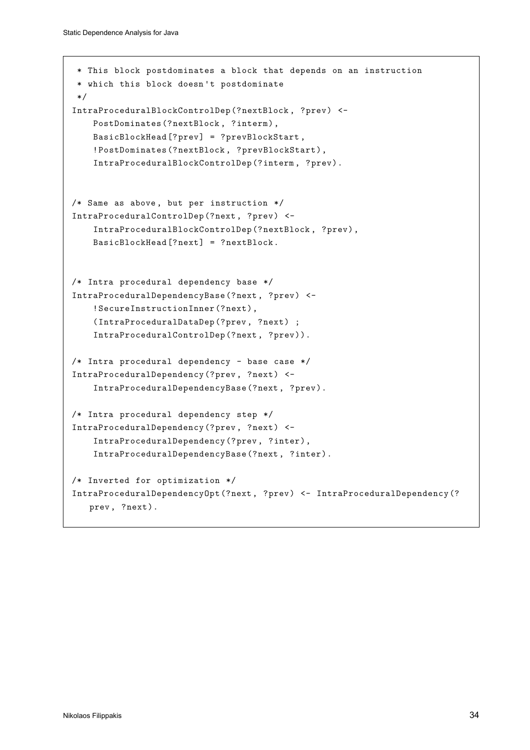```
* This block postdominates a block that depends on an instruction
 * which this block doesn 't postdominate
 */
IntraProceduralBlockControlDep(?nextBlock , ?prev) <-
    PostDominates(?nextBlock , ?interm),
    BasicBlockHead[?prev] = ?prevBlockStart ,
    !PostDominates(?nextBlock , ?prevBlockStart),
    IntraProceduralBlockControlDep(?interm , ?prev).
/* Same as above , but per instruction */
IntraProceduralControlDep(?next, ?prev) <-
    IntraProceduralBlockControlDep(?nextBlock , ?prev),
    BasicBlockHead[?next] = ?nextBlock.
/* Intra procedural dependency base */
IntraProceduralDependencyBase(?next, ?prev) <-
    !SecureInstructionInner(?next),
    (IntraProceduralDataDep(?prev, ?next) ;
    IntraProceduralControlDep(?next, ?prev)).
/* Intra procedural dependency - base case */
IntraProceduralDependency(?prev, ?next) <-
    IntraProceduralDependencyBase(?next, ?prev).
/* Intra procedural dependency step */
IntraProceduralDependency(?prev, ?next) <-
    IntraProceduralDependency(?prev, ?inter),
    IntraProceduralDependencyBase(?next, ?inter).
/* Inverted for optimization */
IntraProceduralDependencyOpt(?next, ?prev) <- IntraProceduralDependency(?
   prev, ?next).
```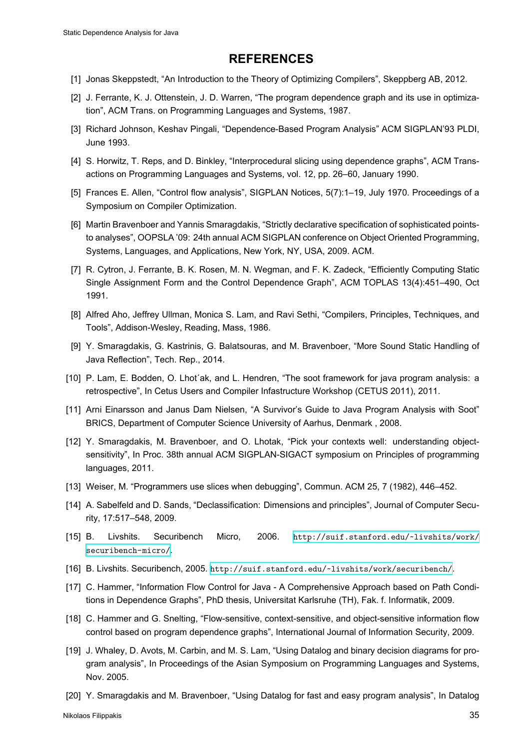#### **REFERENCES**

- [1] Jonas Skeppstedt, "An Introduction to the Theory of Optimizing Compilers", Skeppberg AB, 2012.
- [2] J. Ferrante, K. J. Ottenstein, J. D. Warren, "The program dependence graph and its use in optimization", ACM Trans. on Programming Languages and Systems, 1987.
- <span id="page-34-6"></span><span id="page-34-0"></span>[3] Richard Johnson, Keshav Pingali, "Dependence-Based Program Analysis" ACM SIGPLAN'93 PLDI, June 1993.
- [4] S. Horwitz, T. Reps, and D. Binkley, "Interprocedural slicing using dependence graphs", ACM Transactions on Programming Languages and Systems, vol. 12, pp. 26–60, January 1990.
- <span id="page-34-9"></span>[5] Frances E. Allen, "Control flow analysis", SIGPLAN Notices, 5(7):1–19, July 1970. Proceedings of a Symposium on Compiler Optimization.
- <span id="page-34-5"></span>[6] Martin Bravenboer and Yannis Smaragdakis, "Strictly declarative specification of sophisticated pointsto analyses", OOPSLA '09: 24th annual ACM SIGPLAN conference on Object Oriented Programming, Systems, Languages, and Applications, New York, NY, USA, 2009. ACM.
- <span id="page-34-1"></span>[7] R. Cytron, J. Ferrante, B. K. Rosen, M. N. Wegman, and F. K. Zadeck, "Efficiently Computing Static Single Assignment Form and the Control Dependence Graph", ACM TOPLAS 13(4):451–490, Oct 1991.
- [8] Alfred Aho, Jeffrey Ullman, Monica S. Lam, and Ravi Sethi, "Compilers, Principles, Techniques, and Tools", Addison-Wesley, Reading, Mass, 1986.
- <span id="page-34-7"></span>[9] Y. Smaragdakis, G. Kastrinis, G. Balatsouras, and M. Bravenboer, "More Sound Static Handling of Java Reflection", Tech. Rep., 2014.
- <span id="page-34-10"></span>[10] P. Lam, E. Bodden, O. Lhot´ak, and L. Hendren, "The soot framework for java program analysis: a retrospective", In Cetus Users and Compiler Infastructure Workshop (CETUS 2011), 2011.
- <span id="page-34-2"></span>[11] Arni Einarsson and Janus Dam Nielsen, "A Survivor's Guide to Java Program Analysis with Soot" BRICS, Department of Computer Science University of Aarhus, Denmark , 2008.
- <span id="page-34-8"></span>[12] Y. Smaragdakis, M. Bravenboer, and O. Lhotak, "Pick your contexts well: understanding objectsensitivity", In Proc. 38th annual ACM SIGPLAN-SIGACT symposium on Principles of programming languages, 2011.
- <span id="page-34-3"></span>[13] Weiser, M. "Programmers use slices when debugging", Commun. ACM 25, 7 (1982), 446–452.
- [14] A. Sabelfeld and D. Sands, "Declassification: Dimensions and principles", Journal of Computer Security, 17:517–548, 2009.
- <span id="page-34-11"></span><span id="page-34-4"></span>[15] B. Livshits. Securibench Micro, 2006. http://suif.stanford.edu/~livshits/work/ securibench-micro/.
- <span id="page-34-12"></span>[16] B. Livshits. Securibench, 2005. http://suif.stanford.edu/~livshits/work/securibench/.
- <span id="page-34-13"></span>[17] C. Hammer, "Information Flow Control for Java - A [Comprehensive Approach based on Path Condi](http://suif.stanford.edu/~livshits/work/securibench-micro/)[tions in Dependence G](http://suif.stanford.edu/~livshits/work/securibench-micro/)raphs", PhD thesis, Universitat Karlsruhe (TH), Fak. f. Informatik, 2009.
- <span id="page-34-14"></span>[18] C. Hammer and G. Snelting, "F[low-sensitive, context-sensitive, and object-sensitive informatio](http://suif.stanford.edu/~livshits/work/securibench/)n flow control based on program dependence graphs", International Journal of Information Security, 2009.
- <span id="page-34-15"></span>[19] J. Whaley, D. Avots, M. Carbin, and M. S. Lam, "Using Datalog and binary decision diagrams for program analysis", In Proceedings of the Asian Symposium on Programming Languages and Systems, Nov. 2005.
- <span id="page-34-17"></span><span id="page-34-16"></span>[20] Y. Smaragdakis and M. Bravenboer, "Using Datalog for fast and easy program analysis", In Datalog